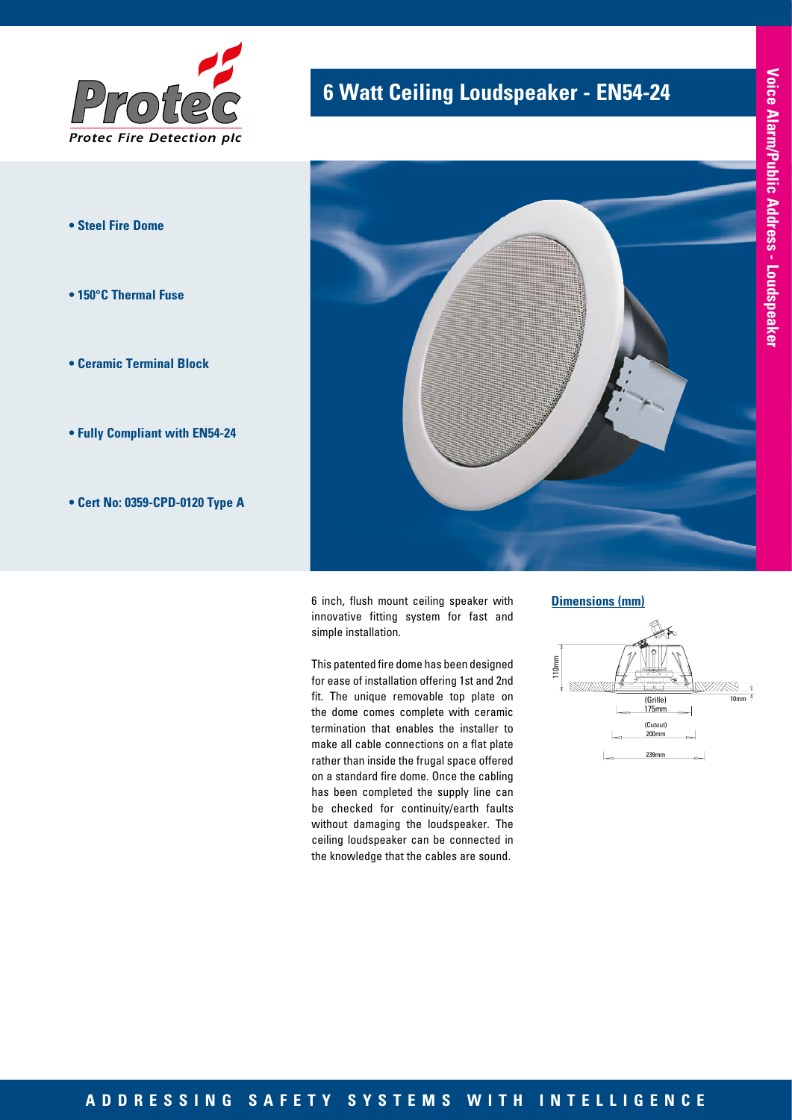

- **Steel Fire Dome**
- **150°C Thermal Fuse**
- **Ceramic Terminal Block**
- **Fully Compliant with EN54-24**
- **Cert No: 0359-CPD-0120 Type A**

# **6 Watt Ceiling Loudspeaker - EN54-24**



6 inch, flush mount ceiling speaker with innovative fitting system for fast and simple installation.

This patented fire dome has been designed for ease of installation offering 1st and 2nd fit. The unique removable top plate on the dome comes complete with ceramic termination that enables the installer to make all cable connections on a flat plate rather than inside the frugal space offered on a standard fire dome. Once the cabling has been completed the supply line can be checked for continuity/earth faults without damaging the loudspeaker. The ceiling loudspeaker can be connected in the knowledge that the cables are sound.

**Dimensions (mm)**